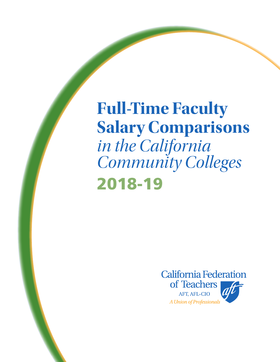**Full-Time Faculty Salary Comparisons**  *in the California Community Colleges*  2018-19

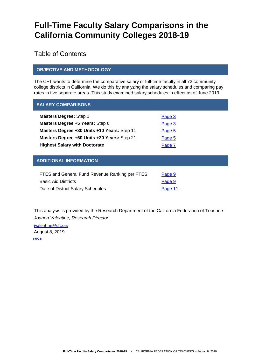# **Full-Time Faculty Salary Comparisons in the California Community Colleges 2018-19**

Table of Contents

#### **OBJECTIVE AND METHODOLOGY**

The CFT wants to determine the comparative salary of full-time faculty in all 72 community college districts in California. We do this by analyzing the salary schedules and comparing pay rates in five separate areas. This study examined salary schedules in effect as of June 2019.

| <b>SALARY COMPARISONS</b>                   |        |
|---------------------------------------------|--------|
| <b>Masters Degree: Step 1</b>               | Page 3 |
| Masters Degree +5 Years: Step 6             | Page 3 |
| Masters Degree +30 Units +10 Years: Step 11 | Page 5 |
| Masters Degree +60 Units +20 Years: Step 21 | Page 5 |
| <b>Highest Salary with Doctorate</b>        | Page 7 |
|                                             |        |

#### **ADDITIONAL INFORMATION**

| FTES and General Fund Revenue Ranking per FTES | Page 9  |
|------------------------------------------------|---------|
| <b>Basic Aid Districts</b>                     | Page 9  |
| Date of District Salary Schedules              | Page 11 |

This analysis is provided by the Research Department of the California Federation of Teachers. *Joanna Valentine, Research Director*

[jvalentine@cft.org](mailto:jvalentine@cft.org)August 8, 2019 1:10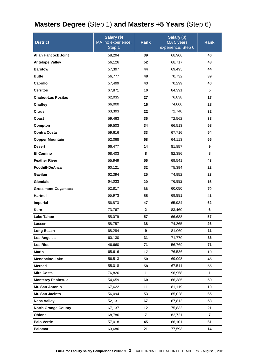### <span id="page-2-0"></span>**Masters Degree** (Step 1) **and Masters +5 Years** (Step 6)

| <b>District</b>            | Salary (\$)<br><b>Rank</b><br>MA no experience, |              | Salary (\$)<br>MA 5 years | <b>Rank</b> |
|----------------------------|-------------------------------------------------|--------------|---------------------------|-------------|
|                            | Step 1                                          |              | experience, Step 6        |             |
| <b>Allan Hancock Joint</b> | 58,294                                          | 39           | 68,900                    | 46          |
| <b>Antelope Valley</b>     | 56,126                                          | 52           | 68,717                    | 48          |
| <b>Barstow</b>             | 57,397                                          | 44           | 69,495                    | 44          |
| <b>Butte</b>               | 56,777                                          | 48           | 70,732                    | 39          |
| Cabrillo                   | 57,499                                          | 43           | 70,299                    | 40          |
| <b>Cerritos</b>            | 67,871                                          | 10           | 84,391                    | 5           |
| <b>Chabot-Las Positas</b>  | 62,035                                          | 27           | 76,838                    | 17          |
| Chaffey                    | 66,000                                          | 16           | 74,000                    | 28          |
| <b>Citrus</b>              | 63,393                                          | 22           | 72,740                    | 32          |
| Coast                      | 59,463                                          | 36           | 72,562                    | 33          |
| Compton                    | 59,503                                          | 34           | 66,513                    | 58          |
| <b>Contra Costa</b>        | 59,616                                          | 33           | 67,716                    | 54          |
| <b>Copper Mountain</b>     | 52,068                                          | 68           | 64,113                    | 66          |
| <b>Desert</b>              | 66,477                                          | 14           | 81,857                    | 9           |
| <b>El Camino</b>           | 68,403                                          | 8            | 82,386                    | 8           |
| <b>Feather River</b>       | 55,949                                          | 56           | 69,541                    | 43          |
| Foothill-DeAnza            | 60,121                                          | 32           | 75,394                    | 22          |
| Gavilan                    | 62,394                                          | 25           | 74,952                    | 23          |
| Glendale                   | 64,033                                          | 20           | 76,982                    | 16          |
| Grossmont-Cuyamaca         | 52,817                                          | 66<br>60,050 |                           | 70          |
| <b>Hartnell</b>            | 55,973                                          | 55           | 69,881                    | 41          |
| Imperial                   | 56,873<br>47                                    |              | 65,934                    | 62          |
| Kern                       | 73,767                                          | $\mathbf{2}$ | 83,460                    | 6           |
| <b>Lake Tahoe</b>          | 55,079                                          | 57           | 66,688                    | 57          |
| Lassen                     | 58,757                                          | 38           | 74,265                    | 26          |
| Long Beach                 | 68,284                                          | 9            | 81,060                    | 11          |
| <b>Los Angeles</b>         | 60,130                                          | 31           | 71,770                    | 36          |
| <b>Los Rios</b>            | 46,660                                          | 71           | 56,769                    | 71          |
| <b>Marin</b>               | 65,616                                          | 17           | 76,536                    | 19          |
| Mendocino-Lake             | 56,513                                          | 50           | 69,098                    | 45          |
| <b>Merced</b>              | 55,018                                          | 58           | 67,511                    | 55          |
| <b>Mira Costa</b>          | 76,826                                          | $\mathbf{1}$ | 96,958                    | 1           |
| <b>Monterey Peninsula</b>  | 54,659                                          | 60           | 66,385                    | 59          |
| Mt. San Antonio            | 67,622                                          | 11           | 81,119                    | 10          |
| Mt. San Jacinto            | 56,094                                          | 53           | 65,028                    | 65          |
| <b>Napa Valley</b>         | 52,131                                          | 67           | 67,812                    | 53          |
| <b>North Orange County</b> | 67,137                                          | 12           | 75,832                    | 21          |
| Ohlone                     | 68,786                                          | 7            | 82,721                    | 7           |
| Palo Verde                 | 57,018                                          | 45           | 66,101                    | 61          |
| Palomar                    | 63,686                                          | 21           | 77,593                    | 14          |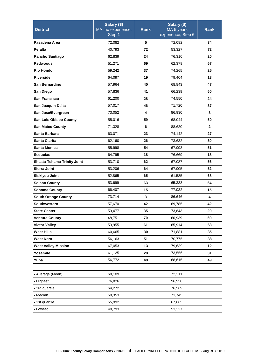| <b>District</b>               | Salary (\$)<br>MA no experience,<br>Step 1 | <b>Rank</b> | Salary (\$)<br>MA 5 years<br>experience, Step 6 | <b>Rank</b>  |
|-------------------------------|--------------------------------------------|-------------|-------------------------------------------------|--------------|
| Pasadena Area                 | 72,082                                     | 5           | 72,082                                          | 34           |
| <b>Peralta</b>                | 40,793                                     | 72          | 53,327                                          | 72           |
| <b>Rancho Santiago</b>        | 62,839                                     | 24          | 76,310                                          | 20           |
| <b>Redwoods</b>               | 51,271                                     | 69          | 62,379                                          | 67           |
| <b>Rio Hondo</b>              | 59,242                                     | 37          | 74,265                                          | 25           |
| <b>Riverside</b>              | 64,097                                     | 19          | 79,404                                          | 13           |
| San Bernardino                | 57,964                                     | 40          | 68,843                                          | 47           |
| San Diego                     | 57,836                                     | 41          | 66,239                                          | 60           |
| San Francisco                 | 61,200                                     | 28          | 74,550                                          | 24           |
| San Joaquin Delta             | 57,017                                     | 46          | 71,720                                          | 37           |
| San Jose/Evergreen            | 73,052                                     | 4           | 86,930                                          | 3            |
| <b>San Luis Obispo County</b> | 55,016                                     | 59          | 68,044                                          | 50           |
| <b>San Mateo County</b>       | 71,328                                     | 6           | 88,620                                          | $\mathbf{2}$ |
| Santa Barbara                 | 63,071                                     | 23          | 74,142                                          | 27           |
| Santa Clarita                 | 62,160                                     | 26          | 73,632                                          | 30           |
| <b>Santa Monica</b>           | 55,998                                     | 54          | 67,993                                          | 51           |
| Sequoias                      | 64,795                                     | 18          | 76,669                                          | 18           |
| Shasta-Tehama-Trinity Joint   | 53,710                                     | 62          | 67,087                                          | 56           |
| Sierra Joint                  | 53,206                                     | 64          | 67,905                                          | 52           |
| Siskiyou Joint                | 52,865                                     | 65          | 61,585                                          | 68           |
| <b>Solano County</b>          | 53,699                                     | 63          | 65,333                                          | 64           |
| <b>Sonoma County</b>          | 66,407                                     | 15          | 77,032                                          | 15           |
| <b>South Orange County</b>    | 73,714                                     | 3           | 86,646                                          | 4            |
| Southwestern                  | 57,670                                     | 42          | 69,785                                          | 42           |
| <b>State Center</b>           | 59,477                                     | 35          | 73,843                                          | 29           |
| <b>Ventura County</b>         | 48,751                                     | 70          | 60,939                                          | 69           |
| <b>Victor Valley</b>          | 53,955                                     | 61          | 65,914                                          | 63           |
| <b>West Hills</b>             | 60,665                                     | 30          | 71,881                                          | 35           |
| <b>West Kern</b>              | 56,163                                     | 51          | 70,775                                          | 38           |
| <b>West Valley-Mission</b>    | 67,053                                     | 13          | 79,639                                          | 12           |
| Yosemite                      | 61,125                                     | 29          | 73,556                                          | 31           |
| Yuba                          | 56,772                                     | 49          | 68,615                                          | 49           |
|                               |                                            |             |                                                 |              |
| • Average (Mean)              | 60,109                                     |             | 72,311                                          |              |
| • Highest                     | 76,826                                     |             | 96,958                                          |              |
| • 3rd quartile                | 64,272                                     |             | 76,569                                          |              |
| • Median                      | 59,353                                     |             | 71,745                                          |              |
| • 1st quartile                | 55,992                                     |             | 67,665                                          |              |
| • Lowest                      | 40,793                                     |             | 53,327                                          |              |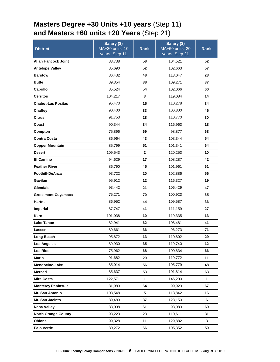### <span id="page-4-0"></span>**Masters Degree +30 Units +10 years** (Step 11) **and Masters +60 units +20 Years** (Step 21)

| <b>District</b>            | Salary (\$)<br>MA+30 units, 10 | Rank     | Salary (\$)<br>MA+60 units, 20<br>years, Step 21 | Rank     |
|----------------------------|--------------------------------|----------|--------------------------------------------------|----------|
|                            | years, Step 11                 |          |                                                  |          |
| <b>Allan Hancock Joint</b> | 83,738<br>85,690               | 58       | 104,521                                          | 52       |
| <b>Antelope Valley</b>     |                                | 52       | 102,663                                          | 57       |
| <b>Barstow</b>             | 86,432                         | 48       | 113,047                                          | 23       |
| <b>Butte</b><br>Cabrillo   | 89,354                         | 38<br>54 | 109,271                                          | 37<br>60 |
| <b>Cerritos</b>            | 85,524                         | 3        | 102,066                                          | 14       |
| <b>Chabot-Las Positas</b>  | 104,217                        | 15       | 119,084<br>110,278                               | 34       |
| Chaffey                    | 95,473<br>90,400               | 33       | 106,800                                          | 46       |
| <b>Citrus</b>              | 91,753                         | 28       |                                                  | 30       |
| Coast                      | 90,344                         | 34       | 110,770                                          | 18       |
| Compton                    |                                | 69       | 116,963                                          | 68       |
| <b>Contra Costa</b>        | 75,896                         | 43       | 98,877                                           | 54       |
| <b>Copper Mountain</b>     | 86,964<br>85,799               | 51       | 103,344<br>101,341                               | 64       |
| <b>Desert</b>              | 109,543                        | 2        |                                                  | 10       |
| <b>El Camino</b>           | 94,629                         | 17       | 120,253<br>108,287                               | 42       |
| <b>Feather River</b>       | 86,790                         | 45       | 101,961                                          | 61       |
| Foothill-DeAnza            | 93,722                         | 20       | 102,886                                          | 56       |
| Gavilan                    | 95,912                         | 12       | 116,327                                          | 19       |
| Glendale                   | 93,442                         | 21       | 106,429                                          | 47       |
| Grossmont-Cuyamaca         | 75,271                         | 70       | 100,923                                          | 65       |
| Hartnell                   | 86,952                         | 44       | 109,587                                          | 36       |
| Imperial                   | 87,747                         | 41       | 111,159                                          | 27       |
| Kern                       | 101,038                        | 10       | 119,335                                          | 13       |
| <b>Lake Tahoe</b>          | 82,941                         | 62       | 108,481                                          | 41       |
| Lassen                     | 89,661                         | 36       | 96,273                                           | 71       |
| Long Beach                 | 95,872                         | 13       | 110,802                                          | 29       |
| <b>Los Angeles</b>         | 89,930                         | 35       | 119,740                                          | 12       |
| Los Rios                   | 75,962                         | 68       | 100,834                                          | 66       |
| <b>Marin</b>               | 91,682                         | 29       | 119,772                                          | 11       |
| Mendocino-Lake             | 85,014                         | 56       | 105,779                                          | 48       |
| <b>Merced</b>              | 85,637                         | 53       | 101,814                                          | 63       |
| <b>Mira Costa</b>          | 122,571                        | 1        | 146,200                                          | 1        |
| <b>Monterey Peninsula</b>  | 81,989                         | 64       | 99,929                                           | 67       |
| Mt. San Antonio            | 103,548                        | 5        | 118,842                                          | 16       |
| Mt. San Jacinto            | 89,489                         | 37       | 123,150                                          | 6        |
| <b>Napa Valley</b>         | 83,098                         | 61       | 98,083                                           | 69       |
| <b>North Orange County</b> | 93,223                         | 23       | 110,611                                          | 31       |
| Ohlone                     | 99,328                         | 11       | 129,882                                          | 3        |
| Palo Verde                 | 80,272                         | 66       | 105,352                                          | 50       |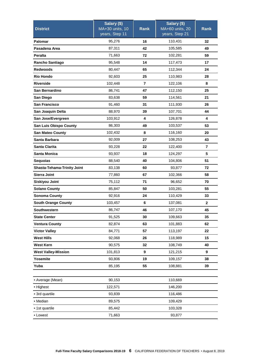| <b>District</b>             | Salary (\$)<br>MA+30 units, 10<br>years, Step 11 | <b>Rank</b> | Salary (\$)<br>MA+60 units, 20<br>years, Step 21 | <b>Rank</b>  |
|-----------------------------|--------------------------------------------------|-------------|--------------------------------------------------|--------------|
| Palomar                     | 95,276                                           | 16          | 110,431                                          | 32           |
| Pasadena Area               | 87,311                                           | 42          | 105,585                                          | 49           |
| <b>Peralta</b>              | 71,663                                           | 72          | 102,281                                          | 59           |
| <b>Rancho Santiago</b>      | 95,548                                           | 14          | 117,473                                          | 17           |
| <b>Redwoods</b>             | 80,447                                           | 65          | 112,344                                          | 24           |
| <b>Rio Hondo</b>            | 92,603                                           | 25          | 110,983                                          | 28           |
| <b>Riverside</b>            | 102,448                                          | 7           | 122,106                                          | 8            |
| San Bernardino              | 86,741                                           | 47          | 112,150                                          | 25           |
| San Diego                   | 83,638                                           | 59          | 114,561                                          | 21           |
| <b>San Francisco</b>        | 91,460                                           | 31          | 111,930                                          | 26           |
| San Joaquin Delta           | 88,970                                           | 39          | 107,701                                          | 44           |
| San Jose/Evergreen          | 103,912                                          | 4           | 126,878                                          | 4            |
| San Luis Obispo County      | 86,303                                           | 49          | 103,537                                          | 53           |
| <b>San Mateo County</b>     | 102,432                                          | 8           | 116,160                                          | 20           |
| Santa Barbara               | 92,009                                           | 27          | 108,253                                          | 43           |
| Santa Clarita               | 93,228                                           | 22          | 122,400                                          | 7            |
| <b>Santa Monica</b>         | 93,937                                           | 18          | 124,297                                          | 5            |
| <b>Sequoias</b>             | 88,540                                           | 40          | 104,806                                          | 51           |
| Shasta-Tehama-Trinity Joint | 83,138                                           | 60          | 93,877                                           | 72           |
| Sierra Joint                | 77,860                                           | 67          |                                                  | 58           |
| Siskiyou Joint              | 75,112                                           | 71          | 96,652                                           | 70           |
| <b>Solano County</b>        | 85,847                                           | 50          | 103,281                                          | 55           |
| <b>Sonoma County</b>        | 92,916                                           | 24          | 110,429                                          | 33           |
| <b>South Orange County</b>  | 103,457                                          | 6           | 137,081                                          | $\mathbf{2}$ |
| <b>Southwestern</b>         | 86,747                                           | 46          | 107,170                                          | 45           |
| <b>State Center</b>         | 91,525                                           | 30          | 109,663                                          | 35           |
| <b>Ventura County</b>       | 82,874                                           | 63          | 101,883                                          | 62           |
| <b>Victor Valley</b>        | 84,771                                           | 57          | 113,197                                          | 22           |
| <b>West Hills</b>           | 92,068                                           | 26          | 118,989                                          | 15           |
| <b>West Kern</b>            | 90,575                                           | 32          | 108,749                                          | 40           |
| <b>West Valley-Mission</b>  | 101,813                                          | 9           | 121,215                                          | 9            |
| Yosemite                    | 93,806                                           | 19          | 109,157                                          | 38           |
| Yuba                        | 85,195                                           | 55          | 108,881                                          | 39           |
|                             |                                                  |             |                                                  |              |
| • Average (Mean)            | 90,153                                           |             | 110,669                                          |              |
| • Highest                   | 122,571                                          | 146,200     |                                                  |              |
| • 3rd quartile              | 93,839                                           |             | 116,486                                          |              |
| • Median                    | 89,575                                           |             | 109,429                                          |              |
| • 1st quartile              | 85,442                                           |             | 103,328                                          |              |
| • Lowest                    | 71,663                                           |             | 93,877                                           |              |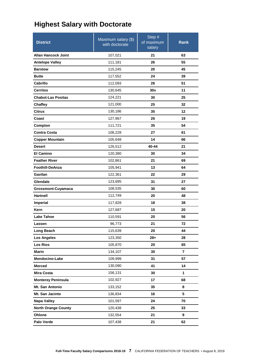### <span id="page-6-0"></span>**Highest Salary with Doctorate**

| <b>District</b>            | Maximum salary (\$)<br>with doctorate | Step $#$<br>of maximum<br>salary | Rank |
|----------------------------|---------------------------------------|----------------------------------|------|
| <b>Allan Hancock Joint</b> | 107,021                               | 21                               | 63   |
| <b>Antelope Valley</b>     | 111,181                               | 26                               | 55   |
| <b>Barstow</b>             | 115,245                               | 20                               | 45   |
| <b>Butte</b>               | 117,552                               | 24                               | 39   |
| Cabrillo                   | 112,093                               | 26                               | 51   |
| <b>Cerritos</b>            | 130,645                               | 30x                              | 11   |
| <b>Chabot-Las Positas</b>  | 124,221                               | 30                               | 25   |
| Chaffey                    | 121,000                               | 25                               | 32   |
| <b>Citrus</b>              | 130,186                               | 35                               | 12   |
| Coast                      | 127,967                               | 26                               | 19   |
| Compton                    | 111,721                               | 35                               | 54   |
| <b>Contra Costa</b>        | 108,228                               | 27                               | 61   |
| <b>Copper Mountain</b>     | 105,648                               | 14                               | 66   |
| <b>Desert</b>              | 126,512                               | 40-44                            | 21   |
| <b>El Camino</b>           | 120,380                               | 30                               | 34   |
| <b>Feather River</b>       | 102,861                               | 21                               | 69   |
| <b>Foothill-DeAnza</b>     | 105,941                               | 13                               | 64   |
| Gavilan                    | 122,361                               | 22                               | 29   |
| Glendale                   | 123,695                               | 31                               | 27   |
| Grossmont-Cuyamaca         | 108,535                               | 30                               | 60   |
| <b>Hartnell</b>            | 112,749                               | 20                               | 48   |
| Imperial                   | 117,828                               | 18                               | 38   |
| Kern                       | 127,687                               | 15                               | 20   |
| <b>Lake Tahoe</b>          | 110,591                               | 20                               | 56   |
| Lassen                     | 96,773                                | 21                               | 72   |
| Long Beach                 | 115,639                               | 20                               | 44   |
| <b>Los Angeles</b>         | 123,350                               | $28+$                            | 28   |
| <b>Los Rios</b>            | 105,870                               | 20                               | 65   |
| <b>Marin</b>               | 134,107                               | 30                               | 7    |
| Mendocino-Lake             | 109,999                               | 31                               | 57   |
| <b>Merced</b>              | 130,090                               | 41                               | 14   |
| <b>Mira Costa</b>          | 156,131                               | 30                               | 1    |
| <b>Monterey Peninsula</b>  | 102,927                               | 17                               | 68   |
| Mt. San Antonio            | 133,152                               | 35                               | 8    |
| Mt. San Jacinto            | 136,834                               | 16                               | 5    |
| <b>Napa Valley</b>         | 101,597                               | 24                               | 70   |
| <b>North Orange County</b> | 120,438                               | 25                               | 33   |
| Ohlone                     | 132,554                               | 21                               | 9    |
| Palo Verde                 | 107,438                               | 21                               | 62   |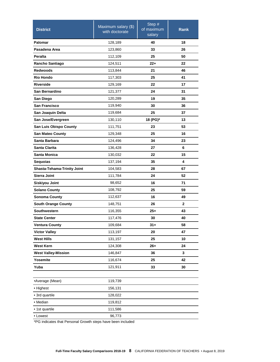| <b>District</b>             | Maximum salary (\$)<br>with doctorate | Step #<br>of maximum<br>salary | Rank |
|-----------------------------|---------------------------------------|--------------------------------|------|
| Palomar                     | 128,189                               | 40                             | 18   |
| Pasadena Area               | 123,860                               | 33                             | 26   |
| <b>Peralta</b>              | 112,109                               | 25                             | 50   |
| Rancho Santiago             | 124,511                               | $22+$                          | 22   |
| <b>Redwoods</b>             | 113,844                               | 21                             | 46   |
| <b>Rio Hondo</b>            | 117,303                               | 25                             | 41   |
| <b>Riverside</b>            | 129,169                               | 22                             | 17   |
| San Bernardino              | 121,377                               | 24                             | 31   |
| San Diego                   | 120,289                               | 19                             | 35   |
| San Francisco               | 119,940                               | 30                             | 36   |
| San Joaquin Delta           | 119,684                               | 25                             | 37   |
| San Jose/Evergreen          | 130,110                               | 18 (PG)*                       | 13   |
| San Luis Obispo County      | 111,751                               | 23                             | 53   |
| <b>San Mateo County</b>     | 129,348                               | 25                             | 16   |
| Santa Barbara               | 124,496                               | 34                             | 23   |
| <b>Santa Clarita</b>        | 136,428                               | 27                             | 6    |
| Santa Monica                | 130,032                               | 22                             | 15   |
| <b>Sequoias</b>             | 137,194                               | 35                             | 4    |
| Shasta-Tehama-Trinity Joint | 104,583                               | 28                             | 67   |
| Sierra Joint                | 111,784                               | 24                             | 52   |
| Siskiyou Joint              | 98,652                                | 16                             | 71   |
| <b>Solano County</b>        | 108,792                               | 25                             | 59   |
| <b>Sonoma County</b>        | 112,637                               | 16                             | 49   |
| <b>South Orange County</b>  | 148,751                               | 26                             | 2    |
| Southwestern                | 116,355                               | $25+$                          | 43   |
| <b>State Center</b>         | 117,476                               | 30                             | 40   |
| <b>Ventura County</b>       | 109,684                               | $31 +$                         | 58   |
| <b>Victor Valley</b>        | 113,197                               | 20                             | 47   |
| <b>West Hills</b>           | 131,157                               | 25                             | 10   |
| <b>West Kern</b>            | 124,308                               | $26+$                          | 24   |
| <b>West Valley-Mission</b>  | 146,847                               | 36                             | 3    |
| Yosemite                    | 116,674                               | 25                             | 42   |
| Yuba                        | 121,911                               | 33                             | 30   |
|                             |                                       |                                |      |
| •Average (Mean)             | 119,739                               |                                |      |
| • Highest                   | 156,131                               |                                |      |
| · 3rd quartile              | 128,022                               |                                |      |
| · Median                    | 119,812                               |                                |      |
| • 1st quartile              | 111,586                               |                                |      |
| • Lowest                    | 96,773                                |                                |      |

\*PG indicates that Personal Growth steps have been included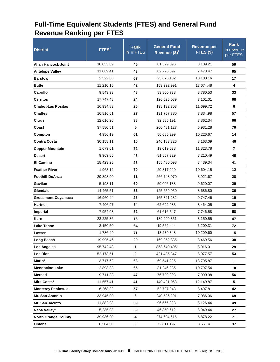#### <span id="page-8-0"></span>**Full-Time Equivalent Students (FTES) and General Fund Revenue Ranking per FTES**

| <b>District</b>            | FTES <sup>1</sup> | <b>Rank</b><br>in #FTES | <b>General Fund</b><br>Revenue $(\$)^2$ | <b>Revenue per</b><br>FTES (\$) | <b>Rank</b><br>in revenue<br>per FTES |
|----------------------------|-------------------|-------------------------|-----------------------------------------|---------------------------------|---------------------------------------|
| <b>Allan Hancock Joint</b> | 10,053.89         | 45                      | 81,529,096                              | 8,109.21                        | 50                                    |
| <b>Antelope Valley</b>     | 11,069.41         | 43                      | 82,726,897                              | 7,473.47                        | 65                                    |
| <b>Barstow</b>             | 2,522.08          | 67                      | 25,675,182                              | 10,180.16                       | 17                                    |
| <b>Butte</b>               | 11,210.15         | 42                      | 153,292,991                             | 13,674.48                       | 4                                     |
| Cabrillo                   | 9,543.93          | 48                      | 83,800,738                              | 8,780.53                        | 33                                    |
| <b>Cerritos</b>            | 17,747.48         | 24                      | 126,025,089                             | 7,101.01                        | 68                                    |
| <b>Chabot-Las Positas</b>  | 16,934.83         | 26                      | 198,132,703                             | 11,699.72                       | 6                                     |
| Chaffey                    | 16,816.61         | 27                      | 131,757,780                             | 7,834.98                        | 57                                    |
| <b>Citrus</b>              | 12,616.26         | 38                      | 92,885,191                              | 7,362.34                        | 66                                    |
| Coast                      | 37,580.51         | 5                       | 260,481,127                             | 6,931.28                        | 70                                    |
| Compton                    | 4,956.19          | 61                      | 50,685,299                              | 10,226.67                       | 14                                    |
| <b>Contra Costa</b>        | 30,158.11         | 10                      | 246,183,326                             | 8,163.09                        | 46                                    |
| <b>Copper Mountain</b>     | 1,679.61          | 72                      | 19,019,538                              | 11,323.78                       | 7                                     |
| <b>Desert</b>              | 9,969.85          | 46                      | 81,857,329                              | 8,210.49                        | 45                                    |
| <b>El Camino</b>           | 18,423.25         | 23                      | 155,480,098                             | 8,439.34                        | 41                                    |
| <b>Feather River</b>       | 1,963.12          | 70                      | 20,817,220                              | 10,604.15                       | 12                                    |
| <b>Foothill-DeAnza</b>     | 29,898.90         | 11                      | 266,748,070                             | 8,921.67                        | 28                                    |
| Gavilan                    | 5,198.11          | 60                      | 50,006,188                              | 9,620.07                        | 20                                    |
| Glendale                   | 14,465.51         | 33                      | 125,659,050                             | 8,686.80                        | 36                                    |
| Grossmont-Cuyamaca         | 16,960.44         | 25                      | 165,321,282                             | 9,747.46                        | 19                                    |
| <b>Hartnell</b>            | 7,406.97          | 54                      | 62,692,933                              | 8,464.05                        | 39                                    |
| Imperial                   | 7,954.03          | 52                      | 61,616,547                              | 7,746.58                        | 58                                    |
| Kern                       | 23,225.36         | 16                      | 189,299,351                             | 8,150.55                        | 47                                    |
| <b>Lake Tahoe</b>          | 3,150.50          | 64                      | 19,562,444                              | 6,209.31                        | 72                                    |
| Lassen                     | 1.786.49          | 71                      | 18,239,348                              | 10,209.60                       | 15                                    |
| Long Beach                 | 19,995.46         | 20                      | 169,352,835                             | 8,469.56                        | 38                                    |
| <b>Los Angeles</b>         | 95,742.43         | 1                       | 853,640,405                             | 8,916.01                        | 29                                    |
| <b>Los Rios</b>            | 52,173.51         | $\mathbf{2}$            | 421,435,347                             | 8,077.57                        | 53                                    |
| Marin*                     | 3,717.62          | 63                      | 69,541,325                              | 18,705.87                       | 1                                     |
| Mendocino-Lake             | 2,893.83          | 65                      | 31,246,235                              | 10,797.54                       | 10                                    |
| <b>Merced</b>              | 9,711.38          | 47                      | 76,729,393                              | 7,900.98                        | 56                                    |
| Mira Costa*                | 11,557.41         | 41                      | 140,421,063                             | 12,149.87                       | 5                                     |
| <b>Monterey Peninsula</b>  | 6,268.82          | 57                      | 52,707,043                              | 8,407.81                        | 42                                    |
| Mt. San Antonio            | 33,945.00         | 6                       | 240,536,291                             | 7,086.06                        | 69                                    |
| Mt. San Jacinto            | 11,882.93         | 39                      | 96,565,923                              | 8,126.44                        | 49                                    |
| Napa Valley*               | 5,235.03          | 59                      | 46,850,612                              | 8,949.44                        | 27                                    |
| <b>North Orange County</b> | 39,936.90         | 4                       | 274,694,616                             | 6,878.22                        | 71                                    |
| Ohlone                     | 8,504.58          | 50                      | 72,811,197                              | 8,561.41                        | 37                                    |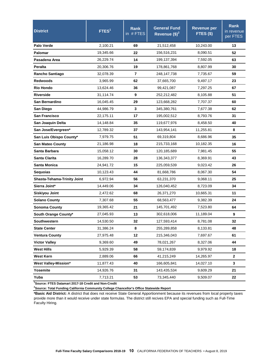| <b>District</b>                    | FTES <sup>1</sup> | <b>Rank</b><br>in #FTES | <b>General Fund</b><br>Revenue $($)^2$ | <b>Revenue per</b><br>FTES (\$) | <b>Rank</b><br>in revenue<br>per FTES |
|------------------------------------|-------------------|-------------------------|----------------------------------------|---------------------------------|---------------------------------------|
| <b>Palo Verde</b>                  | 2,100.21          | 69                      | 21,512,458                             | 10,243.00                       | 13                                    |
| Palomar                            | 19,345.66         | 22                      | 156,516,231                            | 8,090.51                        | 52                                    |
| Pasadena Area                      | 26,229.74         | 14                      | 199,137,394                            | 7,592.05                        | 63                                    |
| Peralta                            | 20,306.76         | 19                      | 178,861,768                            | 8,807.99                        | 30                                    |
| <b>Rancho Santiago</b>             | 32,078.39         | $\overline{7}$          | 248, 147, 738                          | 7,735.67                        | 59                                    |
| <b>Redwoods</b>                    | 3,965.99          | 62                      | 37,665,700                             | 9,497.17                        | 23                                    |
| <b>Rio Hondo</b>                   | 13,624.46         | 36                      | 99,421,087                             | 7,297.25                        | 67                                    |
| <b>Riverside</b>                   | 31,114.74         | 9                       | 252,212,482                            | 8,105.88                        | 51                                    |
| San Bernardino                     | 16,045.45         | 29                      | 123,668,282                            | 7,707.37                        | 60                                    |
| San Diego                          | 44,986.79         | 3                       | 345,380,761                            | 7,677.38                        | 62                                    |
| <b>San Francisco</b>               | 22,175.11         | 17                      | 195,002,512                            | 8.793.76                        | 31                                    |
| San Joaquin Delta                  | 14,148.84         | 35                      | 119,677,976                            | 8,458.50                        | 40                                    |
| San Jose/Evergreen*                | 12,789.32         | 37                      | 143,954,141                            | 11,255.81                       | 8                                     |
| San Luis Obispo County*            | 7,979.75          | 51                      | 69,319,804                             | 8,686.96                        | 35                                    |
| <b>San Mateo County</b>            | 21,186.98         | 18                      | 215,733,168                            | 10,182.35                       | 16                                    |
| Santa Barbara                      | 15,058.12         | 30                      | 120,185,689                            | 7,981.45                        | 55                                    |
| <b>Santa Clarita</b>               | 16,289.70         | 28                      | 136,343,377                            | 8,369.91                        | 43                                    |
| <b>Santa Monica</b>                | 24,941.72         | 15                      | 225,059,539                            | 9,023.42                        | 26                                    |
| <b>Sequoias</b>                    | 10,123.43         | 44                      | 81,668,786                             | 8,067.30                        | 54                                    |
| <b>Shasta-Tehama-Trinity Joint</b> | 6,972.94          | 56                      | 63,231,370                             | 9,068.11                        | 25                                    |
| Sierra Joint*                      | 14,449.06         | 34                      | 126,040,452                            | 8,723.09                        | 34                                    |
| <b>Siskiyou Joint</b>              | 2,472.62          | 68                      | 26,371,270                             | 10,665.31                       | 11                                    |
| <b>Solano County</b>               | 7,307.68          | 55                      | 68,563,477                             | 9,382.39                        | 24                                    |
| <b>Sonoma County</b>               | 19,365.42         | 21                      | 145,701,492                            | 7,523.80                        | 64                                    |
| South Orange County*               | 27,045.93         | 13                      | 302,618,006                            | 11,189.04                       | 9                                     |
| Southwestern                       | 14,530.50         | 32                      | 127,593,414                            | 8,781.08                        | 32                                    |
| <b>State Center</b>                | 31,386.24         | 8                       | 255,289,858                            | 8,133.81                        | 48                                    |
| <b>Ventura County</b>              | 27,975.48         | 12                      | 215,346,043                            | 7,697.67                        | 61                                    |
| <b>Victor Valley</b>               | 9,369.60          | 49                      | 78,021,267                             | 8,327.06                        | 44                                    |
| <b>West Hills</b>                  | 5,929.39          | 58                      | 59,174,839                             | 9,979.92                        | 18                                    |
| <b>West Kern</b>                   | 2,889.06          | 66                      | 41,215,249                             | 14,265.97                       | $\mathbf{2}$                          |
| <b>West Valley-Mission*</b>        | 11,877.43         | 40                      | 166,605,841                            | 14,027.10                       | 3                                     |
| Yosemite                           | 14,926.76         | 31                      | 143,435,534                            | 9,609.29                        | 21                                    |
| Yuba                               | 7,713.21          | 53                      | 73,345,440                             | 9,509.07                        | 22                                    |

**1 Source: FTES Datamart 2017-18 Credit and Non-Credit** 

**2 Source: Total Funding California Community College Chancellor's Office Statewide Report** 

**\*Basic Aid District:** A district that does not receive State General Apportionment because its revenues from local property taxes provide more than it would receive under state formulas. The district still recives EPA and special funding such as Full-Time Faculty Hiring.